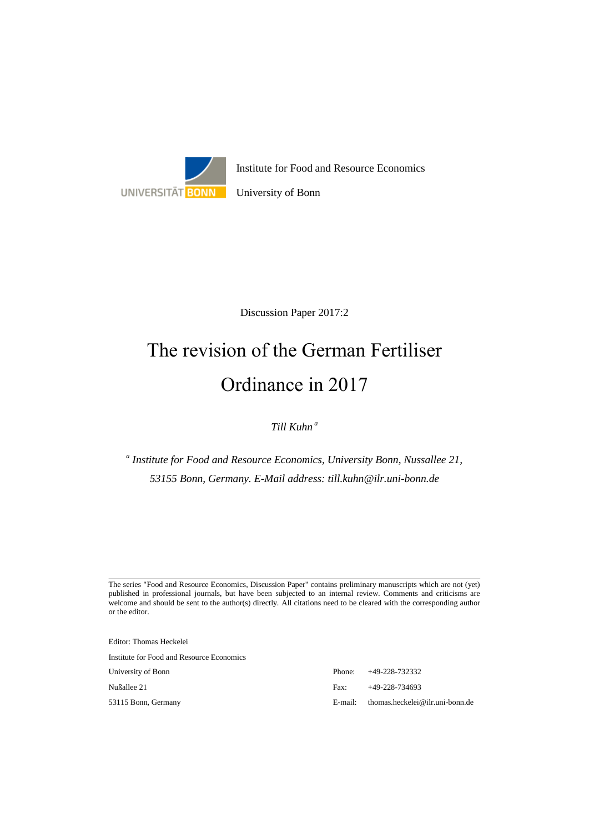

Discussion Paper 2017:2

# The revision of the German Fertiliser Ordinance in 2017

*Till Kuhn a*

*a Institute for Food and Resource Economics, University Bonn, Nussallee 21, 53155 Bonn, Germany. E-Mail address: till.kuhn@ilr.uni-bonn.de*

The series "Food and Resource Economics, Discussion Paper" contains preliminary manuscripts which are not (yet) published in professional journals, but have been subjected to an internal review. Comments and criticisms are welcome and should be sent to the author(s) directly. All citations need to be cleared with the corresponding author or the editor.

Editor: Thomas Heckelei

Institute for Food and Resource Economics

University of Bonn Phone: +49-228-732332 Nußallee 21 Fax: +49-228-734693 53115 Bonn, Germany E-mail: thomas.heckelei@ilr.uni-bonn.de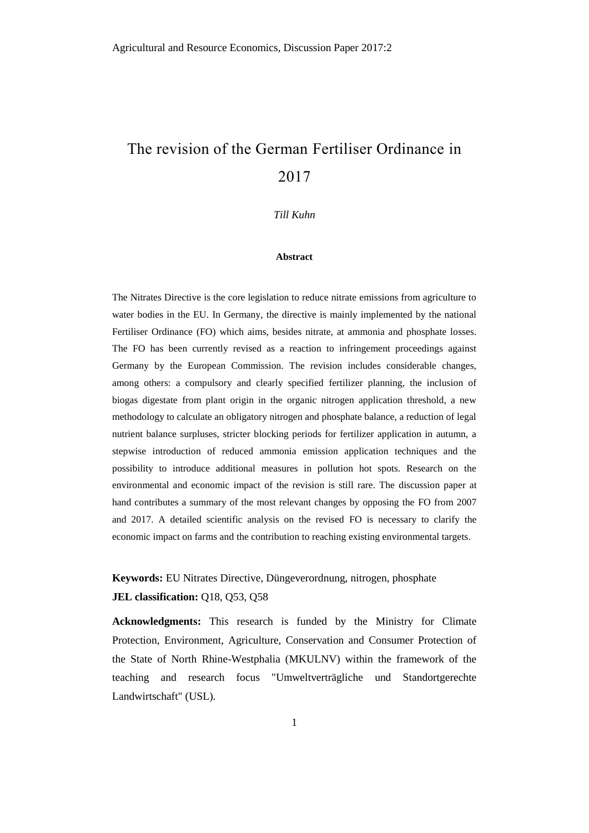# The revision of the German Fertiliser Ordinance in 2017

*Till Kuhn*

#### **Abstract**

The Nitrates Directive is the core legislation to reduce nitrate emissions from agriculture to water bodies in the EU. In Germany, the directive is mainly implemented by the national Fertiliser Ordinance (FO) which aims, besides nitrate, at ammonia and phosphate losses. The FO has been currently revised as a reaction to infringement proceedings against Germany by the European Commission. The revision includes considerable changes, among others: a compulsory and clearly specified fertilizer planning, the inclusion of biogas digestate from plant origin in the organic nitrogen application threshold, a new methodology to calculate an obligatory nitrogen and phosphate balance, a reduction of legal nutrient balance surpluses, stricter blocking periods for fertilizer application in autumn, a stepwise introduction of reduced ammonia emission application techniques and the possibility to introduce additional measures in pollution hot spots. Research on the environmental and economic impact of the revision is still rare. The discussion paper at hand contributes a summary of the most relevant changes by opposing the FO from 2007 and 2017. A detailed scientific analysis on the revised FO is necessary to clarify the economic impact on farms and the contribution to reaching existing environmental targets.

**Keywords:** EU Nitrates Directive, Düngeverordnung, nitrogen, phosphate **JEL classification:** Q18, Q53, Q58

**Acknowledgments:** This research is funded by the Ministry for Climate Protection, Environment, Agriculture, Conservation and Consumer Protection of the State of North Rhine-Westphalia (MKULNV) within the framework of the teaching and research focus "Umweltverträgliche und Standortgerechte Landwirtschaft" (USL).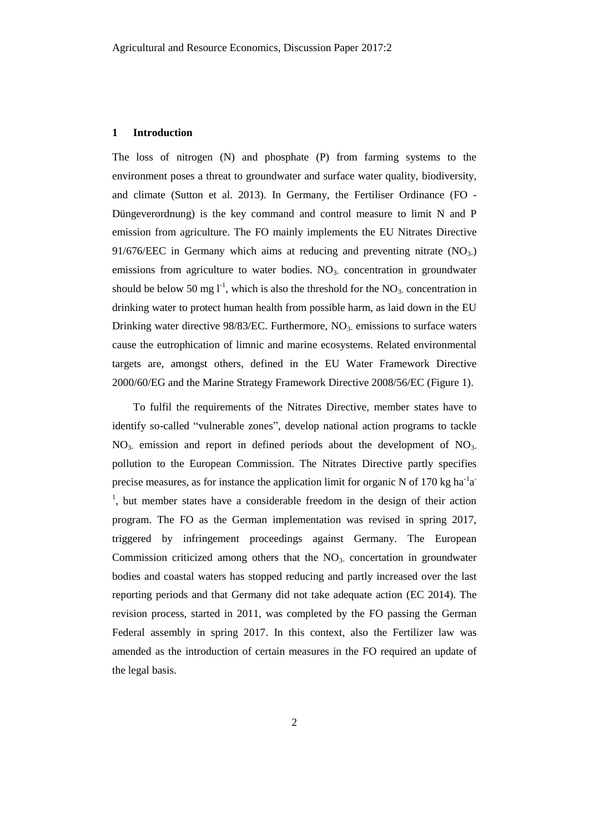#### **1 Introduction**

The loss of nitrogen (N) and phosphate (P) from farming systems to the environment poses a threat to groundwater and surface water quality, biodiversity, and climate (Sutton et al. 2013). In Germany, the Fertiliser Ordinance (FO - Düngeverordnung) is the key command and control measure to limit N and P emission from agriculture. The FO mainly implements the EU Nitrates Directive 91/676/EEC in Germany which aims at reducing and preventing nitrate  $(NO<sub>3</sub>)$ emissions from agriculture to water bodies.  $NO<sub>3</sub>$  concentration in groundwater should be below 50 mg  $l^{-1}$ , which is also the threshold for the NO<sub>3</sub>. concentration in drinking water to protect human health from possible harm, as laid down in the EU Drinking water directive  $98/83/EC$ . Furthermore,  $NO<sub>3</sub>$  emissions to surface waters cause the eutrophication of limnic and marine ecosystems. Related environmental targets are, amongst others, defined in the EU Water Framework Directive 2000/60/EG and the Marine Strategy Framework Directive 2008/56/EC (Figure 1).

To fulfil the requirements of the Nitrates Directive, member states have to identify so-called "vulnerable zones", develop national action programs to tackle  $NO<sub>3</sub>$  emission and report in defined periods about the development of  $NO<sub>3</sub>$ . pollution to the European Commission. The Nitrates Directive partly specifies precise measures, as for instance the application limit for organic N of 170 kg ha<sup>-1</sup>a<sup>-</sup> <sup>1</sup>, but member states have a considerable freedom in the design of their action program. The FO as the German implementation was revised in spring 2017, triggered by infringement proceedings against Germany. The European Commission criticized among others that the  $NO<sub>3</sub>$  concertation in groundwater bodies and coastal waters has stopped reducing and partly increased over the last reporting periods and that Germany did not take adequate action (EC 2014). The revision process, started in 2011, was completed by the FO passing the German Federal assembly in spring 2017. In this context, also the Fertilizer law was amended as the introduction of certain measures in the FO required an update of the legal basis.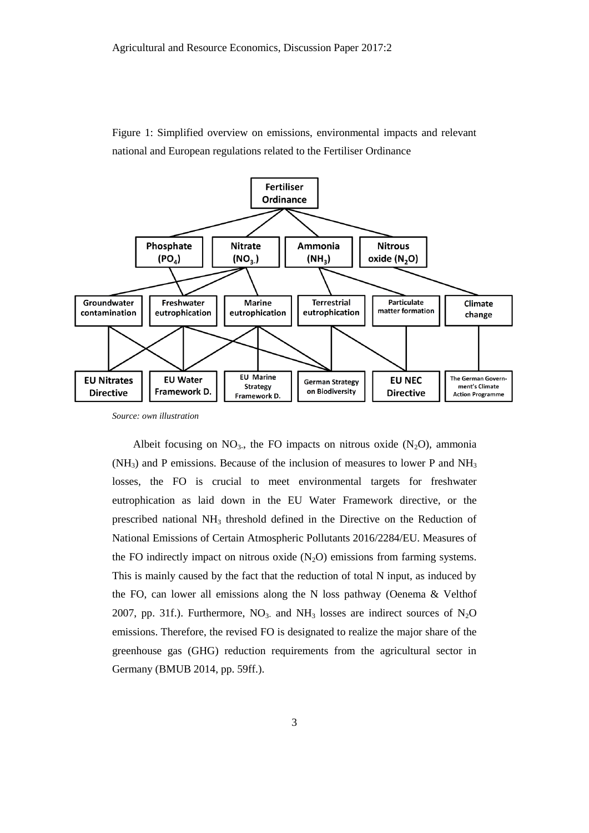



*Source: own illustration*

Albeit focusing on  $NO<sub>3</sub>$ , the FO impacts on nitrous oxide  $(N<sub>2</sub>O)$ , ammonia  $(NH<sub>3</sub>)$  and P emissions. Because of the inclusion of measures to lower P and  $NH<sub>3</sub>$ losses, the FO is crucial to meet environmental targets for freshwater eutrophication as laid down in the EU Water Framework directive, or the prescribed national NH<sup>3</sup> threshold defined in the Directive on the Reduction of National Emissions of Certain Atmospheric Pollutants 2016/2284/EU. Measures of the FO indirectly impact on nitrous oxide  $(N_2O)$  emissions from farming systems. This is mainly caused by the fact that the reduction of total N input, as induced by the FO, can lower all emissions along the N loss pathway (Oenema & Velthof 2007, pp. 31f.). Furthermore,  $NO<sub>3</sub>$  and  $NH<sub>3</sub>$  losses are indirect sources of  $N<sub>2</sub>O$ emissions. Therefore, the revised FO is designated to realize the major share of the greenhouse gas (GHG) reduction requirements from the agricultural sector in Germany (BMUB 2014, pp. 59ff.).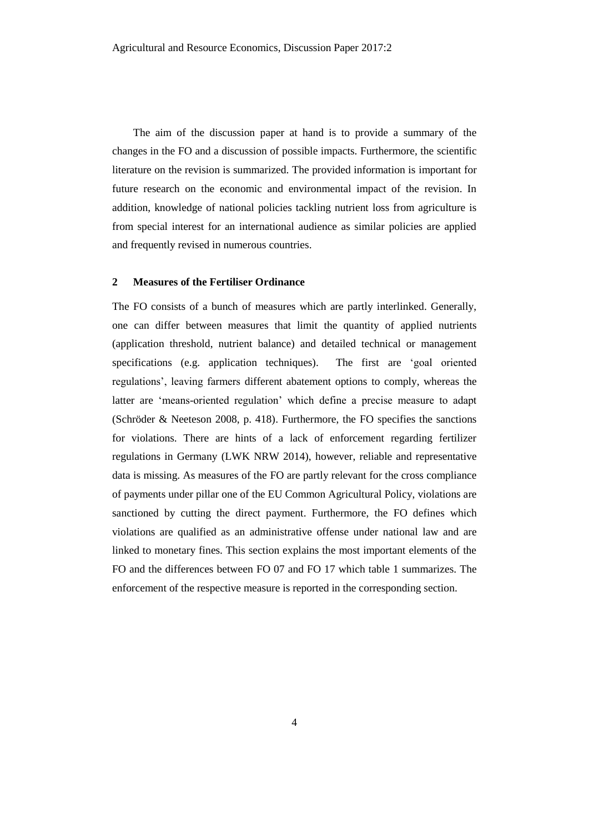The aim of the discussion paper at hand is to provide a summary of the changes in the FO and a discussion of possible impacts. Furthermore, the scientific literature on the revision is summarized. The provided information is important for future research on the economic and environmental impact of the revision. In addition, knowledge of national policies tackling nutrient loss from agriculture is from special interest for an international audience as similar policies are applied and frequently revised in numerous countries.

# **2 Measures of the Fertiliser Ordinance**

The FO consists of a bunch of measures which are partly interlinked. Generally, one can differ between measures that limit the quantity of applied nutrients (application threshold, nutrient balance) and detailed technical or management specifications (e.g. application techniques). The first are 'goal oriented regulations', leaving farmers different abatement options to comply, whereas the latter are 'means-oriented regulation' which define a precise measure to adapt (Schröder & Neeteson 2008, p. 418). Furthermore, the FO specifies the sanctions for violations. There are hints of a lack of enforcement regarding fertilizer regulations in Germany (LWK NRW 2014), however, reliable and representative data is missing. As measures of the FO are partly relevant for the cross compliance of payments under pillar one of the EU Common Agricultural Policy, violations are sanctioned by cutting the direct payment. Furthermore, the FO defines which violations are qualified as an administrative offense under national law and are linked to monetary fines. This section explains the most important elements of the FO and the differences between FO 07 and FO 17 which table 1 summarizes. The enforcement of the respective measure is reported in the corresponding section.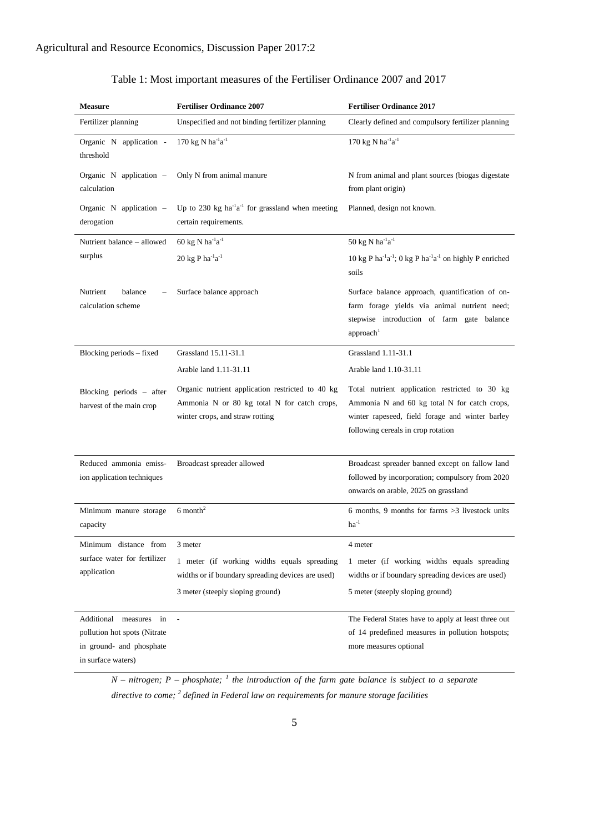| <b>Measure</b>                                                                 | <b>Fertiliser Ordinance 2007</b>                                                                                                     | <b>Fertiliser Ordinance 2017</b>                                                                                                                                                        |
|--------------------------------------------------------------------------------|--------------------------------------------------------------------------------------------------------------------------------------|-----------------------------------------------------------------------------------------------------------------------------------------------------------------------------------------|
| Fertilizer planning                                                            | Unspecified and not binding fertilizer planning                                                                                      | Clearly defined and compulsory fertilizer planning                                                                                                                                      |
| Organic N application -<br>threshold                                           | 170 kg N ha $^{-1}$ a $^{-1}$                                                                                                        | 170 kg N ha $^{-1}$ a $^{-1}$                                                                                                                                                           |
| Organic N application -<br>calculation                                         | Only N from animal manure                                                                                                            | N from animal and plant sources (biogas digestate<br>from plant origin)                                                                                                                 |
| Organic $N$ application $-$<br>derogation                                      | Up to 230 kg ha <sup>-1</sup> a <sup>-1</sup> for grassland when meeting<br>certain requirements.                                    | Planned, design not known.                                                                                                                                                              |
| Nutrient balance - allowed                                                     | 60 kg N ha <sup>-1</sup> a <sup>-1</sup>                                                                                             | 50 kg N ha $^{-1}$ a $^{-1}$                                                                                                                                                            |
| surplus                                                                        | 20 kg P $ha^{-1}a^{-1}$                                                                                                              | 10 kg P ha <sup>-1</sup> a <sup>-1</sup> ; 0 kg P ha <sup>-1</sup> a <sup>-1</sup> on highly P enriched<br>soils                                                                        |
| Nutrient<br>balance<br>calculation scheme                                      | Surface balance approach                                                                                                             | Surface balance approach, quantification of on-<br>farm forage yields via animal nutrient need;<br>stepwise introduction of farm gate balance<br>approach <sup>1</sup>                  |
| Blocking periods – fixed                                                       | Grassland 15.11-31.1                                                                                                                 | Grassland 1.11-31.1                                                                                                                                                                     |
|                                                                                | Arable land 1.11-31.11                                                                                                               | Arable land 1.10-31.11                                                                                                                                                                  |
| Blocking periods - after<br>harvest of the main crop                           | Organic nutrient application restricted to 40 kg<br>Ammonia N or 80 kg total N for catch crops,<br>winter crops, and straw rotting   | Total nutrient application restricted to 30 kg<br>Ammonia N and 60 kg total N for catch crops,<br>winter rapeseed, field forage and winter barley<br>following cereals in crop rotation |
| Reduced ammonia emiss-<br>ion application techniques                           | Broadcast spreader allowed                                                                                                           | Broadcast spreader banned except on fallow land<br>followed by incorporation; compulsory from 2020<br>onwards on arable, 2025 on grassland                                              |
| Minimum manure storage<br>capacity                                             | $6$ month <sup>2</sup>                                                                                                               | 6 months, 9 months for farms $>3$ livestock units<br>$ha^{-1}$                                                                                                                          |
| Minimum distance from                                                          | 3 meter                                                                                                                              | 4 meter                                                                                                                                                                                 |
| surface water for fertilizer<br>application                                    | 1 meter (if working widths equals spreading<br>widths or if boundary spreading devices are used)<br>3 meter (steeply sloping ground) | 1 meter (if working widths equals spreading<br>widths or if boundary spreading devices are used)<br>5 meter (steeply sloping ground)                                                    |
| Additional measures in                                                         | $\overline{\phantom{a}}$                                                                                                             | The Federal States have to apply at least three out                                                                                                                                     |
| pollution hot spots (Nitrate<br>in ground- and phosphate<br>in surface waters) |                                                                                                                                      | of 14 predefined measures in pollution hotspots;<br>more measures optional                                                                                                              |

# Table 1: Most important measures of the Fertiliser Ordinance 2007 and 2017

*N – nitrogen; P – phosphate; <sup>1</sup> the introduction of the farm gate balance is subject to a separate directive to come; <sup>2</sup> defined in Federal law on requirements for manure storage facilities*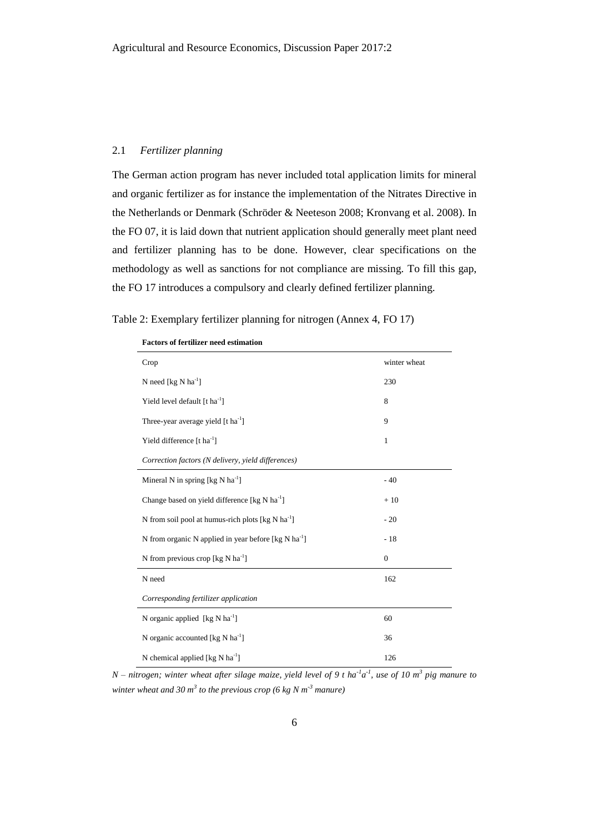### 2.1 *Fertilizer planning*

The German action program has never included total application limits for mineral and organic fertilizer as for instance the implementation of the Nitrates Directive in the Netherlands or Denmark (Schröder & Neeteson 2008; Kronvang et al. 2008). In the FO 07, it is laid down that nutrient application should generally meet plant need and fertilizer planning has to be done. However, clear specifications on the methodology as well as sanctions for not compliance are missing. To fill this gap, the FO 17 introduces a compulsory and clearly defined fertilizer planning.

|  | Table 2: Exemplary fertilizer planning for nitrogen (Annex 4, FO 17) |  |
|--|----------------------------------------------------------------------|--|
|  |                                                                      |  |

| Crop                                                                | winter wheat |
|---------------------------------------------------------------------|--------------|
| N need [kg N ha <sup>-1</sup> ]                                     | 230          |
| Yield level default $[t1]$                                          | 8            |
| Three-year average yield $[t \hat{h}a^{-1}]$                        | 9            |
| Yield difference [t ha <sup>-1</sup> ]                              | $\mathbf{1}$ |
| Correction factors (N delivery, yield differences)                  |              |
| Mineral N in spring $\lceil \log N \rceil$                          | $-40$        |
| Change based on yield difference [kg N ha <sup>-1</sup> ]           | $+10$        |
| N from soil pool at humus-rich plots [kg N ha <sup>-1</sup> ]       | $-20$        |
| N from organic N applied in year before [ $kg$ N ha <sup>-1</sup> ] | $-18$        |
| N from previous crop [kg N ha <sup>-1</sup> ]                       | $\mathbf{0}$ |
| N need                                                              | 162          |
| Corresponding fertilizer application                                |              |
| N organic applied $[\text{kg N ha}^{-1}]$                           | 60           |
| N organic accounted [kg N ha <sup>-1</sup> ]                        | 36           |
| N chemical applied [ $kg$ N ha <sup>-1</sup> ]                      | 126          |

**Factors of fertilizer need estimation**

 $N$  – nitrogen; winter wheat after silage maize, yield level of 9 t ha<sup>-1</sup>a<sup>-1</sup>, use of 10 m<sup>3</sup> pig manure to *winter wheat and 30 m<sup>3</sup> to the previous crop (6 kg N m-3 manure)*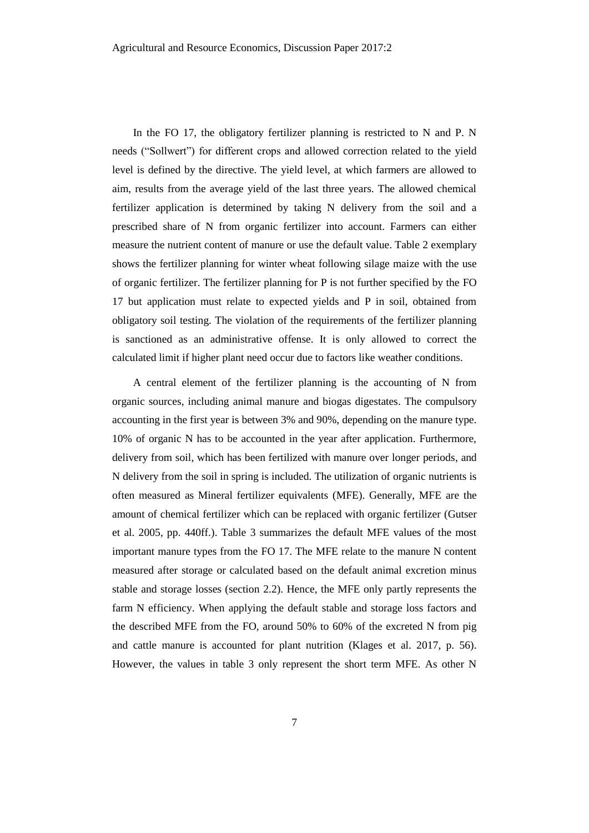In the FO 17, the obligatory fertilizer planning is restricted to N and P. N needs ("Sollwert") for different crops and allowed correction related to the yield level is defined by the directive. The yield level, at which farmers are allowed to aim, results from the average yield of the last three years. The allowed chemical fertilizer application is determined by taking N delivery from the soil and a prescribed share of N from organic fertilizer into account. Farmers can either measure the nutrient content of manure or use the default value. Table 2 exemplary shows the fertilizer planning for winter wheat following silage maize with the use of organic fertilizer. The fertilizer planning for P is not further specified by the FO 17 but application must relate to expected yields and P in soil, obtained from obligatory soil testing. The violation of the requirements of the fertilizer planning is sanctioned as an administrative offense. It is only allowed to correct the calculated limit if higher plant need occur due to factors like weather conditions.

A central element of the fertilizer planning is the accounting of N from organic sources, including animal manure and biogas digestates. The compulsory accounting in the first year is between 3% and 90%, depending on the manure type. 10% of organic N has to be accounted in the year after application. Furthermore, delivery from soil, which has been fertilized with manure over longer periods, and N delivery from the soil in spring is included. The utilization of organic nutrients is often measured as Mineral fertilizer equivalents (MFE). Generally, MFE are the amount of chemical fertilizer which can be replaced with organic fertilizer (Gutser et al. 2005, pp. 440ff.). Table 3 summarizes the default MFE values of the most important manure types from the FO 17. The MFE relate to the manure N content measured after storage or calculated based on the default animal excretion minus stable and storage losses (section 2.2). Hence, the MFE only partly represents the farm N efficiency. When applying the default stable and storage loss factors and the described MFE from the FO, around 50% to 60% of the excreted N from pig and cattle manure is accounted for plant nutrition (Klages et al. 2017, p. 56). However, the values in table 3 only represent the short term MFE. As other N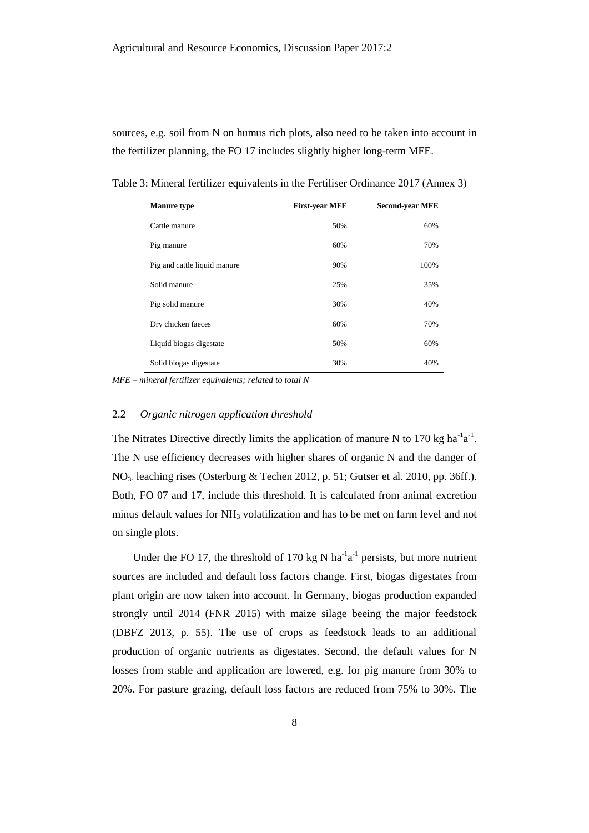sources, e.g. soil from N on humus rich plots, also need to be taken into account in the fertilizer planning, the FO 17 includes slightly higher long-term MFE.

| <b>Manure type</b>           | <b>First-year MFE</b> | <b>Second-year MFE</b> |
|------------------------------|-----------------------|------------------------|
| Cattle manure                | 50%                   | 60%                    |
| Pig manure                   | 60%                   | 70%                    |
| Pig and cattle liquid manure | 90%                   | 100%                   |
| Solid manure                 | 25%                   | 35%                    |
| Pig solid manure             | 30%                   | 40%                    |
| Dry chicken faeces           | 60%                   | 70%                    |
| Liquid biogas digestate      | 50%                   | 60%                    |
| Solid biogas digestate       | 30%                   | 40%                    |

Table 3: Mineral fertilizer equivalents in the Fertiliser Ordinance 2017 (Annex 3)

*MFE – mineral fertilizer equivalents; related to total N*

#### 2.2 *Organic nitrogen application threshold*

The Nitrates Directive directly limits the application of manure N to 170 kg ha<sup>-1</sup>a<sup>-1</sup>. The N use efficiency decreases with higher shares of organic N and the danger of NO<sub>3</sub>. leaching rises (Osterburg & Techen 2012, p. 51; Gutser et al. 2010, pp. 36ff.). Both, FO 07 and 17, include this threshold. It is calculated from animal excretion minus default values for NH<sup>3</sup> volatilization and has to be met on farm level and not on single plots.

Under the FO 17, the threshold of 170 kg N  $ha^{-1}a^{-1}$  persists, but more nutrient sources are included and default loss factors change. First, biogas digestates from plant origin are now taken into account. In Germany, biogas production expanded strongly until 2014 (FNR 2015) with maize silage beeing the major feedstock (DBFZ 2013, p. 55). The use of crops as feedstock leads to an additional production of organic nutrients as digestates. Second, the default values for N losses from stable and application are lowered, e.g. for pig manure from 30% to 20%. For pasture grazing, default loss factors are reduced from 75% to 30%. The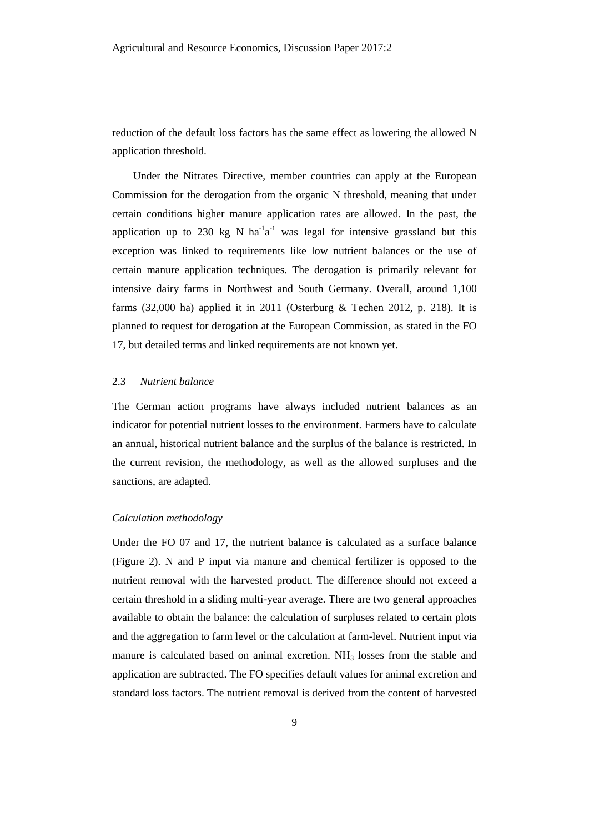reduction of the default loss factors has the same effect as lowering the allowed N application threshold.

Under the Nitrates Directive, member countries can apply at the European Commission for the derogation from the organic N threshold, meaning that under certain conditions higher manure application rates are allowed. In the past, the application up to 230 kg N  $ha^{-1}a^{-1}$  was legal for intensive grassland but this exception was linked to requirements like low nutrient balances or the use of certain manure application techniques. The derogation is primarily relevant for intensive dairy farms in Northwest and South Germany. Overall, around 1,100 farms (32,000 ha) applied it in 2011 (Osterburg & Techen 2012, p. 218). It is planned to request for derogation at the European Commission, as stated in the FO 17, but detailed terms and linked requirements are not known yet.

### 2.3 *Nutrient balance*

The German action programs have always included nutrient balances as an indicator for potential nutrient losses to the environment. Farmers have to calculate an annual, historical nutrient balance and the surplus of the balance is restricted. In the current revision, the methodology, as well as the allowed surpluses and the sanctions, are adapted.

# *Calculation methodology*

Under the FO 07 and 17, the nutrient balance is calculated as a surface balance (Figure 2). N and P input via manure and chemical fertilizer is opposed to the nutrient removal with the harvested product. The difference should not exceed a certain threshold in a sliding multi-year average. There are two general approaches available to obtain the balance: the calculation of surpluses related to certain plots and the aggregation to farm level or the calculation at farm-level. Nutrient input via manure is calculated based on animal excretion.  $NH<sub>3</sub>$  losses from the stable and application are subtracted. The FO specifies default values for animal excretion and standard loss factors. The nutrient removal is derived from the content of harvested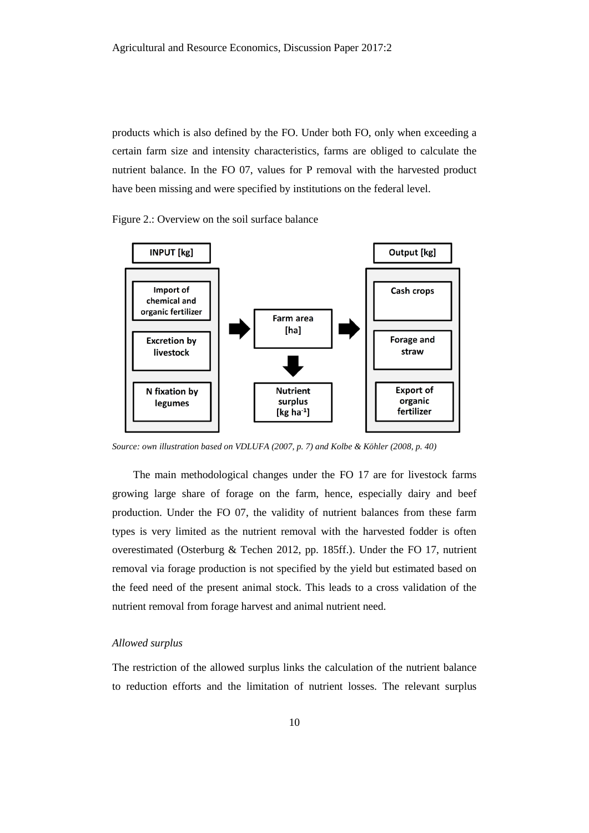products which is also defined by the FO. Under both FO, only when exceeding a certain farm size and intensity characteristics, farms are obliged to calculate the nutrient balance. In the FO 07, values for P removal with the harvested product have been missing and were specified by institutions on the federal level.

Figure 2.: Overview on the soil surface balance



*Source: own illustration based on VDLUFA (2007, p. 7) and Kolbe & Köhler (2008, p. 40)*

The main methodological changes under the FO 17 are for livestock farms growing large share of forage on the farm, hence, especially dairy and beef production. Under the FO 07, the validity of nutrient balances from these farm types is very limited as the nutrient removal with the harvested fodder is often overestimated (Osterburg & Techen 2012, pp. 185ff.). Under the FO 17, nutrient removal via forage production is not specified by the yield but estimated based on the feed need of the present animal stock. This leads to a cross validation of the nutrient removal from forage harvest and animal nutrient need.

# *Allowed surplus*

The restriction of the allowed surplus links the calculation of the nutrient balance to reduction efforts and the limitation of nutrient losses. The relevant surplus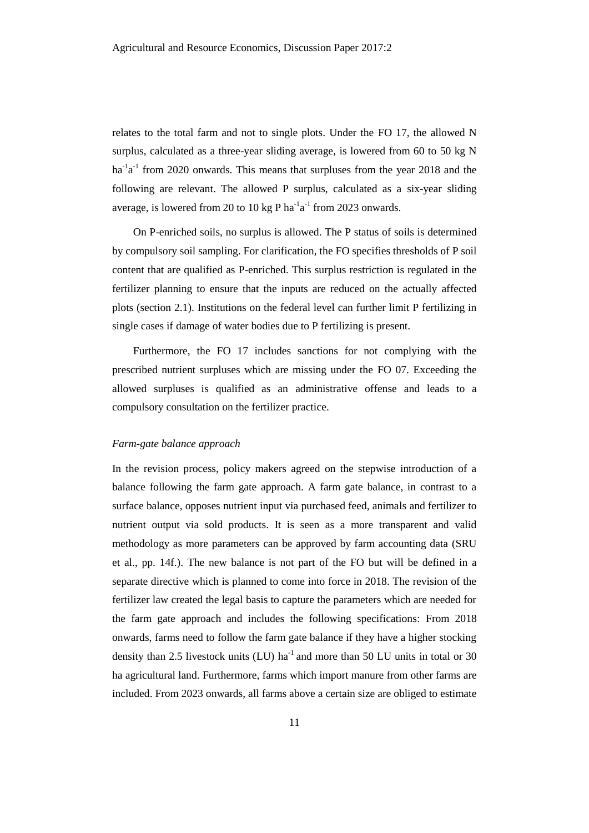relates to the total farm and not to single plots. Under the FO 17, the allowed N surplus, calculated as a three-year sliding average, is lowered from 60 to 50 kg N ha<sup>-1</sup>a<sup>-1</sup> from 2020 onwards. This means that surpluses from the year 2018 and the following are relevant. The allowed P surplus, calculated as a six-year sliding average, is lowered from 20 to 10 kg P ha<sup>-1</sup>a<sup>-1</sup> from 2023 onwards.

On P-enriched soils, no surplus is allowed. The P status of soils is determined by compulsory soil sampling. For clarification, the FO specifies thresholds of P soil content that are qualified as P-enriched. This surplus restriction is regulated in the fertilizer planning to ensure that the inputs are reduced on the actually affected plots (section 2.1). Institutions on the federal level can further limit P fertilizing in single cases if damage of water bodies due to P fertilizing is present.

Furthermore, the FO 17 includes sanctions for not complying with the prescribed nutrient surpluses which are missing under the FO 07. Exceeding the allowed surpluses is qualified as an administrative offense and leads to a compulsory consultation on the fertilizer practice.

#### *Farm-gate balance approach*

In the revision process, policy makers agreed on the stepwise introduction of a balance following the farm gate approach. A farm gate balance, in contrast to a surface balance, opposes nutrient input via purchased feed, animals and fertilizer to nutrient output via sold products. It is seen as a more transparent and valid methodology as more parameters can be approved by farm accounting data (SRU et al., pp. 14f.). The new balance is not part of the FO but will be defined in a separate directive which is planned to come into force in 2018. The revision of the fertilizer law created the legal basis to capture the parameters which are needed for the farm gate approach and includes the following specifications: From 2018 onwards, farms need to follow the farm gate balance if they have a higher stocking density than 2.5 livestock units (LU)  $ha^{-1}$  and more than 50 LU units in total or 30 ha agricultural land. Furthermore, farms which import manure from other farms are included. From 2023 onwards, all farms above a certain size are obliged to estimate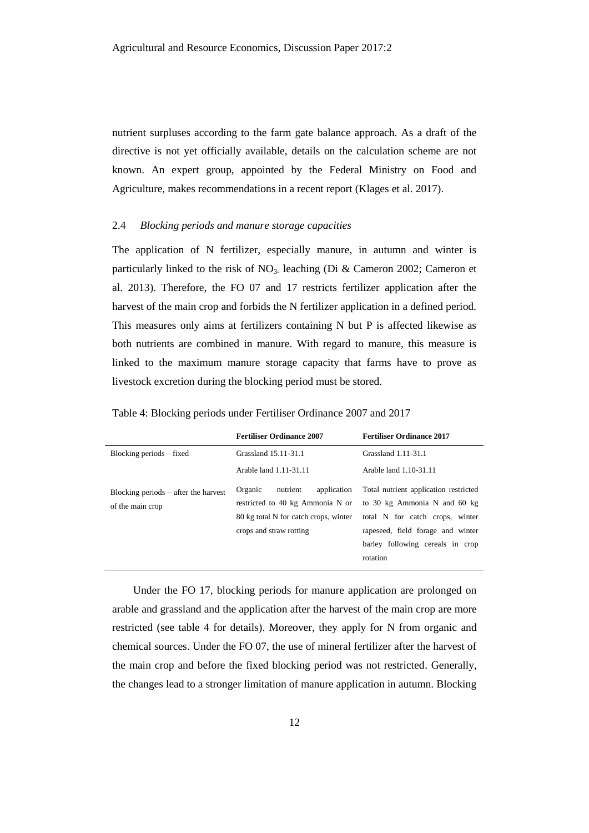nutrient surpluses according to the farm gate balance approach. As a draft of the directive is not yet officially available, details on the calculation scheme are not known. An expert group, appointed by the Federal Ministry on Food and Agriculture, makes recommendations in a recent report (Klages et al. 2017).

#### 2.4 *Blocking periods and manure storage capacities*

The application of N fertilizer, especially manure, in autumn and winter is particularly linked to the risk of  $NO<sub>3</sub>$  leaching (Di & Cameron 2002; Cameron et al. 2013). Therefore, the FO 07 and 17 restricts fertilizer application after the harvest of the main crop and forbids the N fertilizer application in a defined period. This measures only aims at fertilizers containing N but P is affected likewise as both nutrients are combined in manure. With regard to manure, this measure is linked to the maximum manure storage capacity that farms have to prove as livestock excretion during the blocking period must be stored.

|                                                            | <b>Fertiliser Ordinance 2007</b>                                                                                                           | <b>Fertiliser Ordinance 2017</b>                                                                                                                                                              |
|------------------------------------------------------------|--------------------------------------------------------------------------------------------------------------------------------------------|-----------------------------------------------------------------------------------------------------------------------------------------------------------------------------------------------|
| Blocking periods – fixed                                   | Grassland 15.11-31.1                                                                                                                       | Grassland 1.11-31.1                                                                                                                                                                           |
|                                                            | Arable land 1.11-31.11                                                                                                                     | Arable land 1.10-31.11                                                                                                                                                                        |
| Blocking periods $-$ after the harvest<br>of the main crop | Organic<br>nutrient<br>application<br>restricted to 40 kg Ammonia N or<br>80 kg total N for catch crops, winter<br>crops and straw rotting | Total nutrient application restricted<br>to 30 kg Ammonia N and 60 kg<br>total N for catch crops, winter<br>rapeseed, field forage and winter<br>barley following cereals in crop<br>rotation |

Table 4: Blocking periods under Fertiliser Ordinance 2007 and 2017

Under the FO 17, blocking periods for manure application are prolonged on arable and grassland and the application after the harvest of the main crop are more restricted (see table 4 for details). Moreover, they apply for N from organic and chemical sources. Under the FO 07, the use of mineral fertilizer after the harvest of the main crop and before the fixed blocking period was not restricted. Generally, the changes lead to a stronger limitation of manure application in autumn. Blocking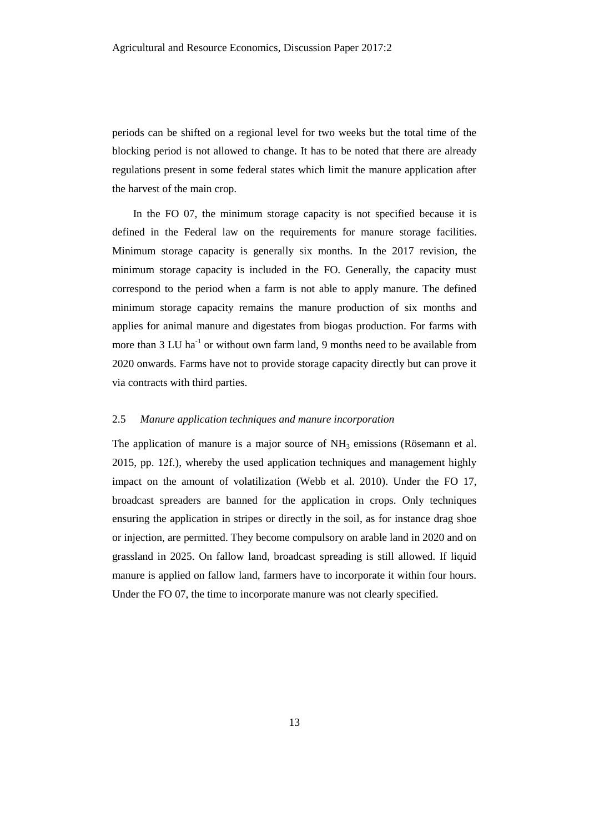periods can be shifted on a regional level for two weeks but the total time of the blocking period is not allowed to change. It has to be noted that there are already regulations present in some federal states which limit the manure application after the harvest of the main crop.

In the FO 07, the minimum storage capacity is not specified because it is defined in the Federal law on the requirements for manure storage facilities. Minimum storage capacity is generally six months. In the 2017 revision, the minimum storage capacity is included in the FO. Generally, the capacity must correspond to the period when a farm is not able to apply manure. The defined minimum storage capacity remains the manure production of six months and applies for animal manure and digestates from biogas production. For farms with more than  $3 \text{ LU}$  ha<sup>-1</sup> or without own farm land, 9 months need to be available from 2020 onwards. Farms have not to provide storage capacity directly but can prove it via contracts with third parties.

# 2.5 *Manure application techniques and manure incorporation*

The application of manure is a major source of  $NH<sub>3</sub>$  emissions (Rösemann et al. 2015, pp. 12f.), whereby the used application techniques and management highly impact on the amount of volatilization (Webb et al. 2010). Under the FO 17, broadcast spreaders are banned for the application in crops. Only techniques ensuring the application in stripes or directly in the soil, as for instance drag shoe or injection, are permitted. They become compulsory on arable land in 2020 and on grassland in 2025. On fallow land, broadcast spreading is still allowed. If liquid manure is applied on fallow land, farmers have to incorporate it within four hours. Under the FO 07, the time to incorporate manure was not clearly specified.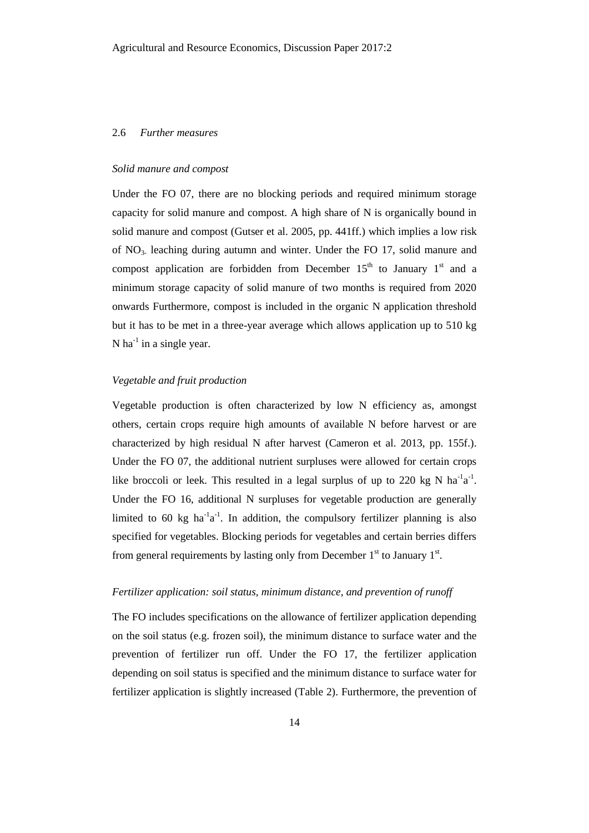#### 2.6 *Further measures*

#### *Solid manure and compost*

Under the FO 07, there are no blocking periods and required minimum storage capacity for solid manure and compost. A high share of N is organically bound in solid manure and compost (Gutser et al. 2005, pp. 441ff.) which implies a low risk of NO3- leaching during autumn and winter. Under the FO 17, solid manure and compost application are forbidden from December  $15<sup>th</sup>$  to January  $1<sup>st</sup>$  and a minimum storage capacity of solid manure of two months is required from 2020 onwards Furthermore, compost is included in the organic N application threshold but it has to be met in a three-year average which allows application up to 510 kg N ha $^{-1}$  in a single year.

# *Vegetable and fruit production*

Vegetable production is often characterized by low N efficiency as, amongst others, certain crops require high amounts of available N before harvest or are characterized by high residual N after harvest (Cameron et al. 2013, pp. 155f.). Under the FO 07, the additional nutrient surpluses were allowed for certain crops like broccoli or leek. This resulted in a legal surplus of up to 220 kg N  $\text{ha}^{-1}\text{a}^{-1}$ . Under the FO 16, additional N surpluses for vegetable production are generally limited to 60 kg  $ha^{-1}a^{-1}$ . In addition, the compulsory fertilizer planning is also specified for vegetables. Blocking periods for vegetables and certain berries differs from general requirements by lasting only from December  $1<sup>st</sup>$  to January  $1<sup>st</sup>$ .

# *Fertilizer application: soil status, minimum distance, and prevention of runoff*

The FO includes specifications on the allowance of fertilizer application depending on the soil status (e.g. frozen soil), the minimum distance to surface water and the prevention of fertilizer run off. Under the FO 17, the fertilizer application depending on soil status is specified and the minimum distance to surface water for fertilizer application is slightly increased (Table 2). Furthermore, the prevention of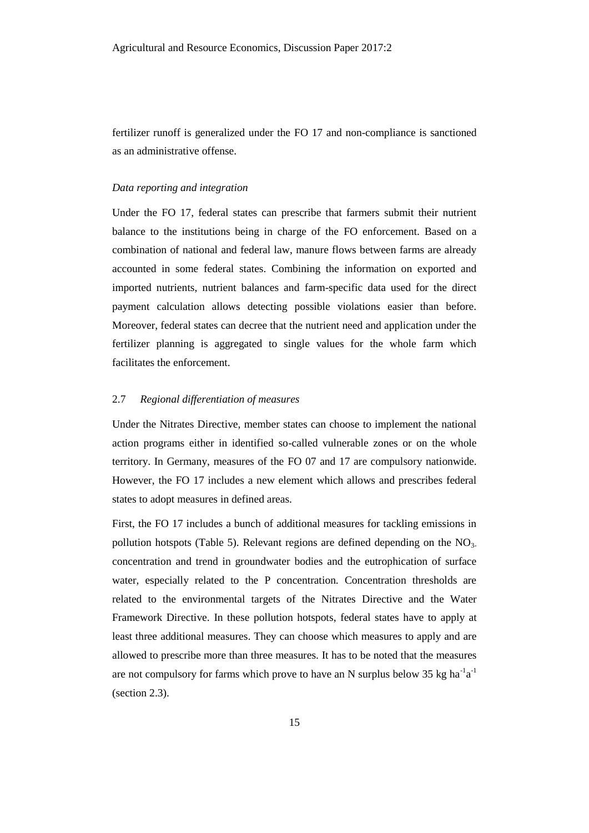fertilizer runoff is generalized under the FO 17 and non-compliance is sanctioned as an administrative offense.

#### *Data reporting and integration*

Under the FO 17, federal states can prescribe that farmers submit their nutrient balance to the institutions being in charge of the FO enforcement. Based on a combination of national and federal law, manure flows between farms are already accounted in some federal states. Combining the information on exported and imported nutrients, nutrient balances and farm-specific data used for the direct payment calculation allows detecting possible violations easier than before. Moreover, federal states can decree that the nutrient need and application under the fertilizer planning is aggregated to single values for the whole farm which facilitates the enforcement.

# 2.7 *Regional differentiation of measures*

Under the Nitrates Directive, member states can choose to implement the national action programs either in identified so-called vulnerable zones or on the whole territory. In Germany, measures of the FO 07 and 17 are compulsory nationwide. However, the FO 17 includes a new element which allows and prescribes federal states to adopt measures in defined areas.

First, the FO 17 includes a bunch of additional measures for tackling emissions in pollution hotspots (Table 5). Relevant regions are defined depending on the  $NO<sub>3</sub>$ concentration and trend in groundwater bodies and the eutrophication of surface water, especially related to the P concentration. Concentration thresholds are related to the environmental targets of the Nitrates Directive and the Water Framework Directive. In these pollution hotspots, federal states have to apply at least three additional measures. They can choose which measures to apply and are allowed to prescribe more than three measures. It has to be noted that the measures are not compulsory for farms which prove to have an N surplus below 35 kg  $ha^{-1}a^{-1}$ (section 2.3).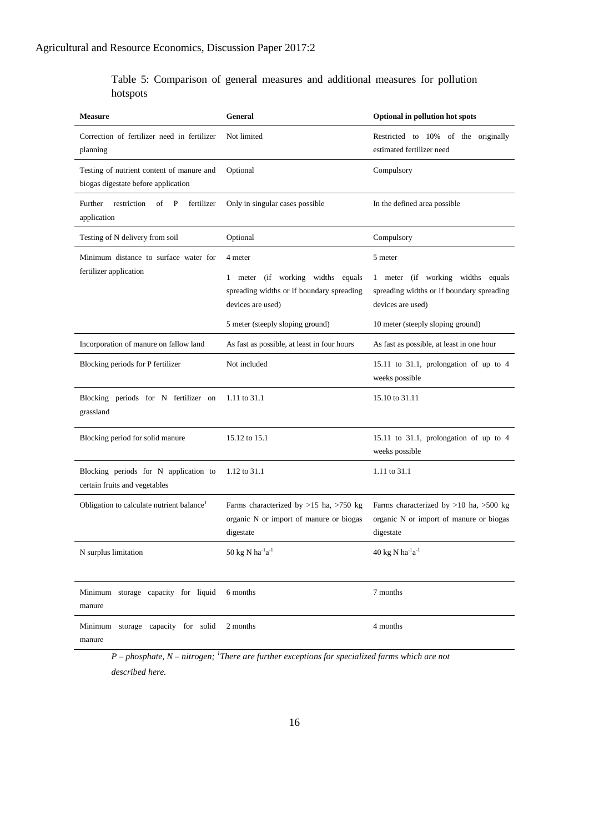Table 5: Comparison of general measures and additional measures for pollution hotspots

| <b>Measure</b>                                                                   | <b>General</b>                                                                                                                                                   | Optional in pollution hot spots                                                                                                                     |
|----------------------------------------------------------------------------------|------------------------------------------------------------------------------------------------------------------------------------------------------------------|-----------------------------------------------------------------------------------------------------------------------------------------------------|
| Correction of fertilizer need in fertilizer<br>planning                          | Not limited                                                                                                                                                      | Restricted to 10% of the originally<br>estimated fertilizer need                                                                                    |
| Testing of nutrient content of manure and<br>biogas digestate before application | Optional                                                                                                                                                         | Compulsory                                                                                                                                          |
| Further<br>restriction<br>of<br>fertilizer<br>P<br>application                   | Only in singular cases possible                                                                                                                                  | In the defined area possible                                                                                                                        |
| Testing of N delivery from soil                                                  | Optional                                                                                                                                                         | Compulsory                                                                                                                                          |
| Minimum distance to surface water for<br>fertilizer application                  | 4 meter<br>meter (if working widths equals<br>$\mathbf{1}$<br>spreading widths or if boundary spreading<br>devices are used)<br>5 meter (steeply sloping ground) | 5 meter<br>1 meter (if working widths equals<br>spreading widths or if boundary spreading<br>devices are used)<br>10 meter (steeply sloping ground) |
| Incorporation of manure on fallow land                                           | As fast as possible, at least in four hours                                                                                                                      | As fast as possible, at least in one hour                                                                                                           |
| Blocking periods for P fertilizer                                                | Not included                                                                                                                                                     | 15.11 to 31.1, prolongation of up to $4$<br>weeks possible                                                                                          |
| Blocking periods for N fertilizer on<br>grassland                                | 1.11 to 31.1                                                                                                                                                     | 15.10 to 31.11                                                                                                                                      |
| Blocking period for solid manure                                                 | 15.12 to 15.1                                                                                                                                                    | 15.11 to 31.1, prolongation of up to 4<br>weeks possible                                                                                            |
| Blocking periods for N application to<br>certain fruits and vegetables           | 1.12 to 31.1                                                                                                                                                     | 1.11 to 31.1                                                                                                                                        |
| Obligation to calculate nutrient balance <sup>1</sup>                            | Farms characterized by $>15$ ha, $>750$ kg<br>organic N or import of manure or biogas<br>digestate                                                               | Farms characterized by $>10$ ha, $>500$ kg<br>organic N or import of manure or biogas<br>digestate                                                  |
| N surplus limitation                                                             | $50~\mathrm{kg}$ N $\mathrm{ha}^\text{-1}\mathrm{a}^\text{-1}$                                                                                                   | $40~\mathrm{kg}$ N $\mathrm{ha}^\text{-1}\mathrm{a}^\text{-1}$                                                                                      |
| Minimum storage capacity for liquid<br>manure                                    | 6 months                                                                                                                                                         | 7 months                                                                                                                                            |
| Minimum storage capacity for solid<br>manure                                     | 2 months                                                                                                                                                         | 4 months                                                                                                                                            |

*P – phosphate, N – nitrogen; <sup>1</sup> There are further exceptions for specialized farms which are not described here.*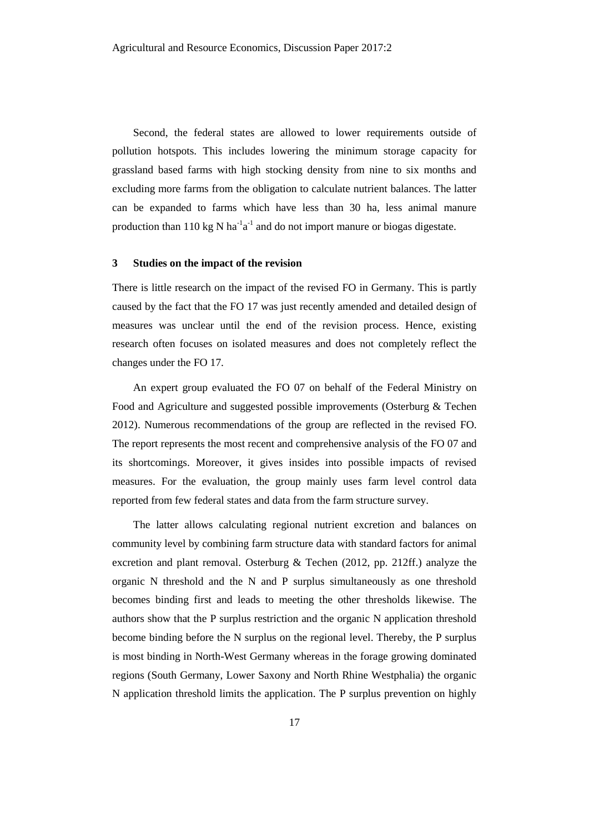Second, the federal states are allowed to lower requirements outside of pollution hotspots. This includes lowering the minimum storage capacity for grassland based farms with high stocking density from nine to six months and excluding more farms from the obligation to calculate nutrient balances. The latter can be expanded to farms which have less than 30 ha, less animal manure production than 110 kg N ha<sup>-1</sup>a<sup>-1</sup> and do not import manure or biogas digestate.

#### **3 Studies on the impact of the revision**

There is little research on the impact of the revised FO in Germany. This is partly caused by the fact that the FO 17 was just recently amended and detailed design of measures was unclear until the end of the revision process. Hence, existing research often focuses on isolated measures and does not completely reflect the changes under the FO 17.

An expert group evaluated the FO 07 on behalf of the Federal Ministry on Food and Agriculture and suggested possible improvements (Osterburg & Techen 2012). Numerous recommendations of the group are reflected in the revised FO. The report represents the most recent and comprehensive analysis of the FO 07 and its shortcomings. Moreover, it gives insides into possible impacts of revised measures. For the evaluation, the group mainly uses farm level control data reported from few federal states and data from the farm structure survey.

The latter allows calculating regional nutrient excretion and balances on community level by combining farm structure data with standard factors for animal excretion and plant removal. Osterburg & Techen (2012, pp. 212ff.) analyze the organic N threshold and the N and P surplus simultaneously as one threshold becomes binding first and leads to meeting the other thresholds likewise. The authors show that the P surplus restriction and the organic N application threshold become binding before the N surplus on the regional level. Thereby, the P surplus is most binding in North-West Germany whereas in the forage growing dominated regions (South Germany, Lower Saxony and North Rhine Westphalia) the organic N application threshold limits the application. The P surplus prevention on highly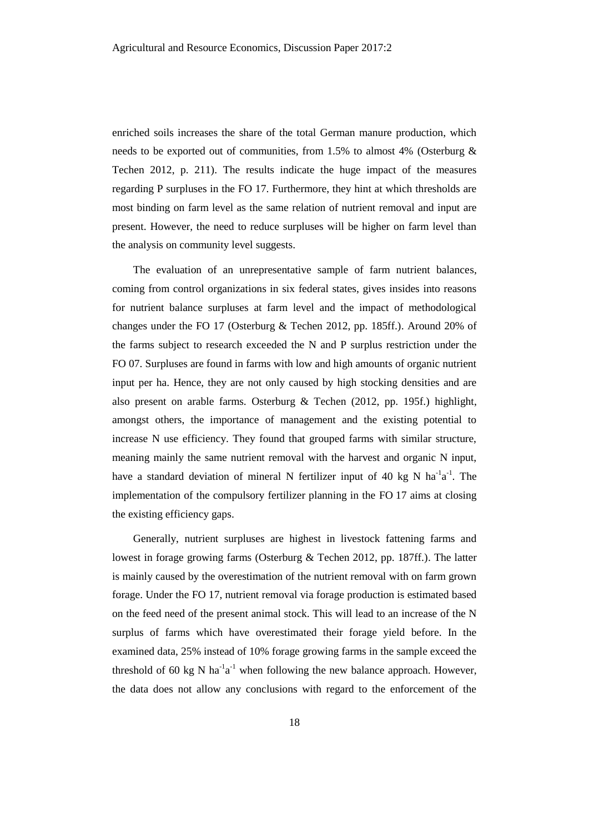enriched soils increases the share of the total German manure production, which needs to be exported out of communities, from 1.5% to almost 4% (Osterburg & Techen 2012, p. 211). The results indicate the huge impact of the measures regarding P surpluses in the FO 17. Furthermore, they hint at which thresholds are most binding on farm level as the same relation of nutrient removal and input are present. However, the need to reduce surpluses will be higher on farm level than the analysis on community level suggests.

The evaluation of an unrepresentative sample of farm nutrient balances, coming from control organizations in six federal states, gives insides into reasons for nutrient balance surpluses at farm level and the impact of methodological changes under the FO 17 (Osterburg & Techen 2012, pp. 185ff.). Around 20% of the farms subject to research exceeded the N and P surplus restriction under the FO 07. Surpluses are found in farms with low and high amounts of organic nutrient input per ha. Hence, they are not only caused by high stocking densities and are also present on arable farms. Osterburg & Techen (2012, pp. 195f.) highlight, amongst others, the importance of management and the existing potential to increase N use efficiency. They found that grouped farms with similar structure, meaning mainly the same nutrient removal with the harvest and organic N input, have a standard deviation of mineral N fertilizer input of 40 kg N ha<sup>-1</sup>a<sup>-1</sup>. The implementation of the compulsory fertilizer planning in the FO 17 aims at closing the existing efficiency gaps.

Generally, nutrient surpluses are highest in livestock fattening farms and lowest in forage growing farms (Osterburg & Techen 2012, pp. 187ff.). The latter is mainly caused by the overestimation of the nutrient removal with on farm grown forage. Under the FO 17, nutrient removal via forage production is estimated based on the feed need of the present animal stock. This will lead to an increase of the N surplus of farms which have overestimated their forage yield before. In the examined data, 25% instead of 10% forage growing farms in the sample exceed the threshold of 60 kg N ha<sup>-1</sup>a<sup>-1</sup> when following the new balance approach. However, the data does not allow any conclusions with regard to the enforcement of the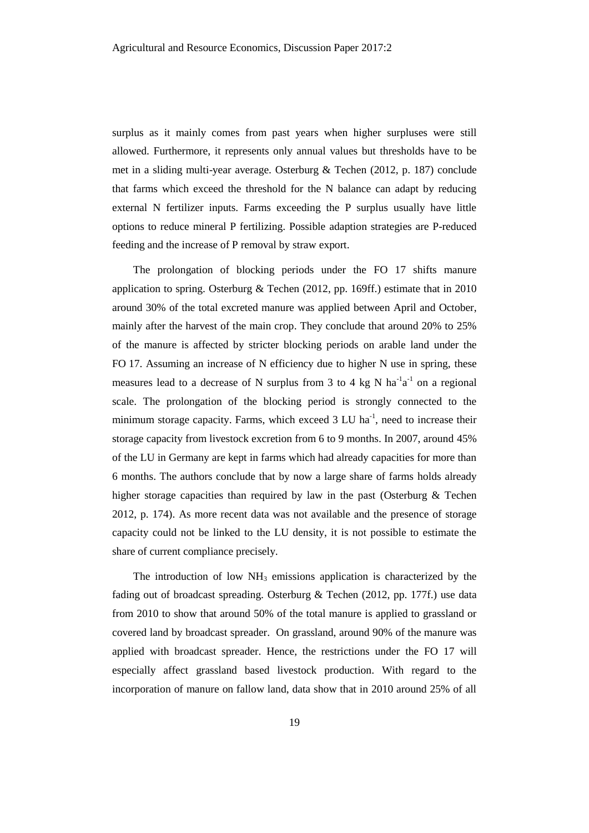surplus as it mainly comes from past years when higher surpluses were still allowed. Furthermore, it represents only annual values but thresholds have to be met in a sliding multi-year average. Osterburg & Techen (2012, p. 187) conclude that farms which exceed the threshold for the N balance can adapt by reducing external N fertilizer inputs. Farms exceeding the P surplus usually have little options to reduce mineral P fertilizing. Possible adaption strategies are P-reduced feeding and the increase of P removal by straw export.

The prolongation of blocking periods under the FO 17 shifts manure application to spring. Osterburg & Techen (2012, pp. 169ff.) estimate that in 2010 around 30% of the total excreted manure was applied between April and October, mainly after the harvest of the main crop. They conclude that around 20% to 25% of the manure is affected by stricter blocking periods on arable land under the FO 17. Assuming an increase of N efficiency due to higher N use in spring, these measures lead to a decrease of N surplus from 3 to 4 kg N  $ha^{-1}a^{-1}$  on a regional scale. The prolongation of the blocking period is strongly connected to the minimum storage capacity. Farms, which exceed 3 LU ha<sup>-1</sup>, need to increase their storage capacity from livestock excretion from 6 to 9 months. In 2007, around 45% of the LU in Germany are kept in farms which had already capacities for more than 6 months. The authors conclude that by now a large share of farms holds already higher storage capacities than required by law in the past (Osterburg & Techen 2012, p. 174). As more recent data was not available and the presence of storage capacity could not be linked to the LU density, it is not possible to estimate the share of current compliance precisely.

The introduction of low  $NH<sub>3</sub>$  emissions application is characterized by the fading out of broadcast spreading. Osterburg & Techen (2012, pp. 177f.) use data from 2010 to show that around 50% of the total manure is applied to grassland or covered land by broadcast spreader. On grassland, around 90% of the manure was applied with broadcast spreader. Hence, the restrictions under the FO 17 will especially affect grassland based livestock production. With regard to the incorporation of manure on fallow land, data show that in 2010 around 25% of all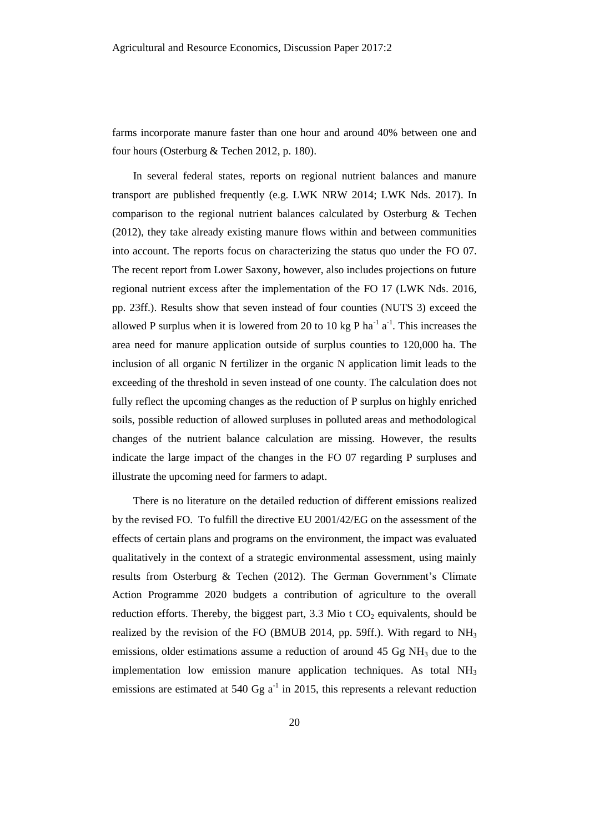farms incorporate manure faster than one hour and around 40% between one and four hours (Osterburg & Techen 2012, p. 180).

In several federal states, reports on regional nutrient balances and manure transport are published frequently (e.g. LWK NRW 2014; LWK Nds. 2017). In comparison to the regional nutrient balances calculated by Osterburg & Techen (2012), they take already existing manure flows within and between communities into account. The reports focus on characterizing the status quo under the FO 07. The recent report from Lower Saxony, however, also includes projections on future regional nutrient excess after the implementation of the FO 17 (LWK Nds. 2016, pp. 23ff.). Results show that seven instead of four counties (NUTS 3) exceed the allowed P surplus when it is lowered from 20 to 10 kg P ha<sup>-1</sup> a<sup>-1</sup>. This increases the area need for manure application outside of surplus counties to 120,000 ha. The inclusion of all organic N fertilizer in the organic N application limit leads to the exceeding of the threshold in seven instead of one county. The calculation does not fully reflect the upcoming changes as the reduction of P surplus on highly enriched soils, possible reduction of allowed surpluses in polluted areas and methodological changes of the nutrient balance calculation are missing. However, the results indicate the large impact of the changes in the FO 07 regarding P surpluses and illustrate the upcoming need for farmers to adapt.

There is no literature on the detailed reduction of different emissions realized by the revised FO. To fulfill the directive EU 2001/42/EG on the assessment of the effects of certain plans and programs on the environment, the impact was evaluated qualitatively in the context of a strategic environmental assessment, using mainly results from Osterburg & Techen (2012). The German Government's Climate Action Programme 2020 budgets a contribution of agriculture to the overall reduction efforts. Thereby, the biggest part,  $3.3$  Mio t  $CO<sub>2</sub>$  equivalents, should be realized by the revision of the FO (BMUB 2014, pp. 59ff.). With regard to  $NH<sub>3</sub>$ emissions, older estimations assume a reduction of around  $45 \text{ Gg} \text{ NH}_3$  due to the implementation low emission manure application techniques. As total  $NH<sub>3</sub>$ emissions are estimated at 540  $\text{Gg}$  a<sup>-1</sup> in 2015, this represents a relevant reduction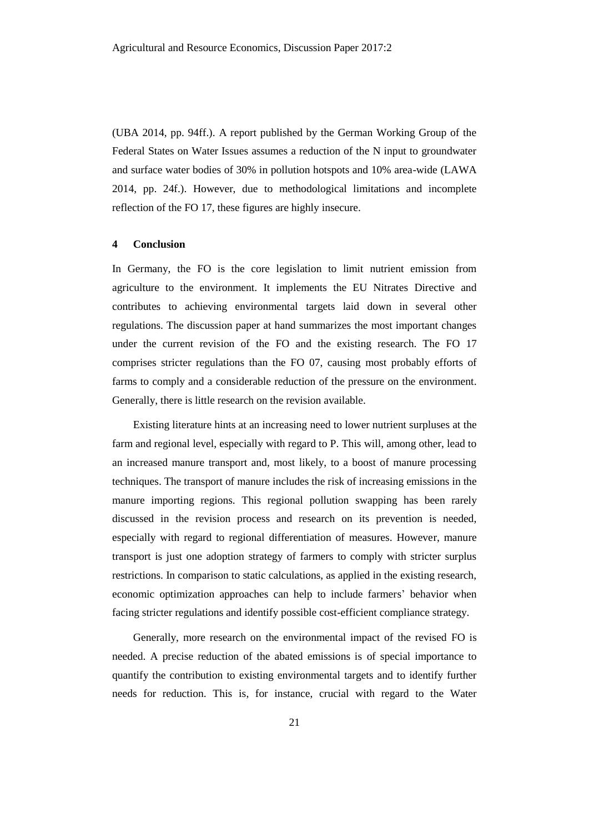(UBA 2014, pp. 94ff.). A report published by the German Working Group of the Federal States on Water Issues assumes a reduction of the N input to groundwater and surface water bodies of 30% in pollution hotspots and 10% area-wide (LAWA 2014, pp. 24f.). However, due to methodological limitations and incomplete reflection of the FO 17, these figures are highly insecure.

#### **4 Conclusion**

In Germany, the FO is the core legislation to limit nutrient emission from agriculture to the environment. It implements the EU Nitrates Directive and contributes to achieving environmental targets laid down in several other regulations. The discussion paper at hand summarizes the most important changes under the current revision of the FO and the existing research. The FO 17 comprises stricter regulations than the FO 07, causing most probably efforts of farms to comply and a considerable reduction of the pressure on the environment. Generally, there is little research on the revision available.

Existing literature hints at an increasing need to lower nutrient surpluses at the farm and regional level, especially with regard to P. This will, among other, lead to an increased manure transport and, most likely, to a boost of manure processing techniques. The transport of manure includes the risk of increasing emissions in the manure importing regions. This regional pollution swapping has been rarely discussed in the revision process and research on its prevention is needed, especially with regard to regional differentiation of measures. However, manure transport is just one adoption strategy of farmers to comply with stricter surplus restrictions. In comparison to static calculations, as applied in the existing research, economic optimization approaches can help to include farmers' behavior when facing stricter regulations and identify possible cost-efficient compliance strategy.

Generally, more research on the environmental impact of the revised FO is needed. A precise reduction of the abated emissions is of special importance to quantify the contribution to existing environmental targets and to identify further needs for reduction. This is, for instance, crucial with regard to the Water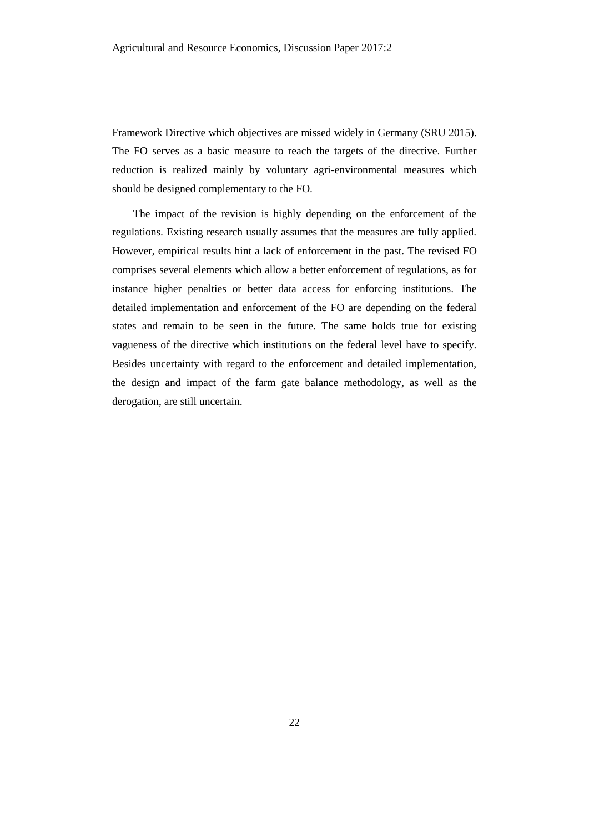Framework Directive which objectives are missed widely in Germany (SRU 2015). The FO serves as a basic measure to reach the targets of the directive. Further reduction is realized mainly by voluntary agri-environmental measures which should be designed complementary to the FO.

The impact of the revision is highly depending on the enforcement of the regulations. Existing research usually assumes that the measures are fully applied. However, empirical results hint a lack of enforcement in the past. The revised FO comprises several elements which allow a better enforcement of regulations, as for instance higher penalties or better data access for enforcing institutions. The detailed implementation and enforcement of the FO are depending on the federal states and remain to be seen in the future. The same holds true for existing vagueness of the directive which institutions on the federal level have to specify. Besides uncertainty with regard to the enforcement and detailed implementation, the design and impact of the farm gate balance methodology, as well as the derogation, are still uncertain.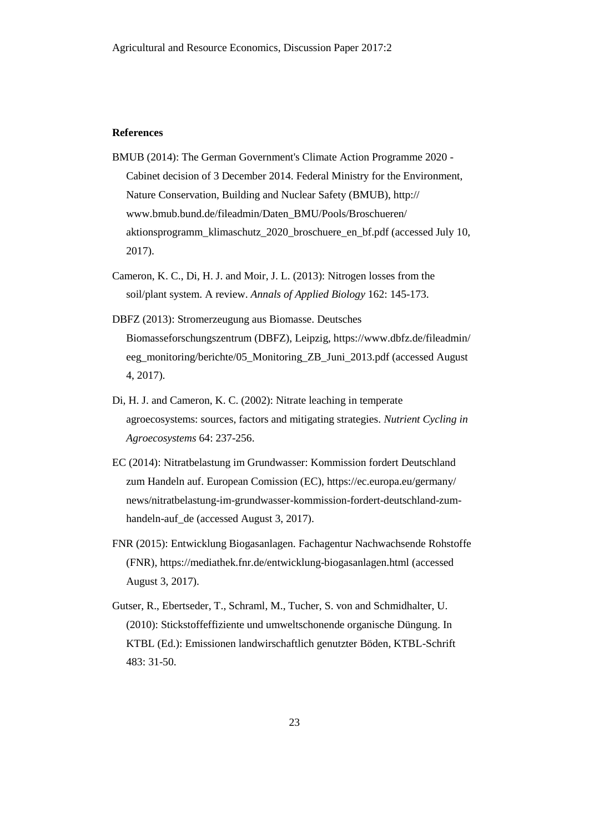#### **References**

- BMUB (2014): The German Government's Climate Action Programme 2020 Cabinet decision of 3 December 2014. Federal Ministry for the Environment, Nature Conservation, Building and Nuclear Safety (BMUB), http:// www.bmub.bund.de/fileadmin/Daten\_BMU/Pools/Broschueren/ aktionsprogramm\_klimaschutz\_2020\_broschuere\_en\_bf.pdf (accessed July 10, 2017).
- Cameron, K. C., Di, H. J. and Moir, J. L. (2013): Nitrogen losses from the soil/plant system. A review. *Annals of Applied Biology* 162: 145-173.
- DBFZ (2013): Stromerzeugung aus Biomasse. Deutsches Biomasseforschungszentrum (DBFZ), Leipzig, https://www.dbfz.de/fileadmin/ eeg\_monitoring/berichte/05\_Monitoring\_ZB\_Juni\_2013.pdf (accessed August 4, 2017).
- Di, H. J. and Cameron, K. C. (2002): Nitrate leaching in temperate agroecosystems: sources, factors and mitigating strategies. *Nutrient Cycling in Agroecosystems* 64: 237-256.
- EC (2014): Nitratbelastung im Grundwasser: Kommission fordert Deutschland zum Handeln auf. European Comission (EC), https://ec.europa.eu/germany/ news/nitratbelastung-im-grundwasser-kommission-fordert-deutschland-zumhandeln-auf de (accessed August 3, 2017).
- FNR (2015): Entwicklung Biogasanlagen. Fachagentur Nachwachsende Rohstoffe (FNR), https://mediathek.fnr.de/entwicklung-biogasanlagen.html (accessed August 3, 2017).
- Gutser, R., Ebertseder, T., Schraml, M., Tucher, S. von and Schmidhalter, U. (2010): Stickstoffeffiziente und umweltschonende organische Düngung. In KTBL (Ed.): Emissionen landwirschaftlich genutzter Böden, KTBL-Schrift 483: 31-50.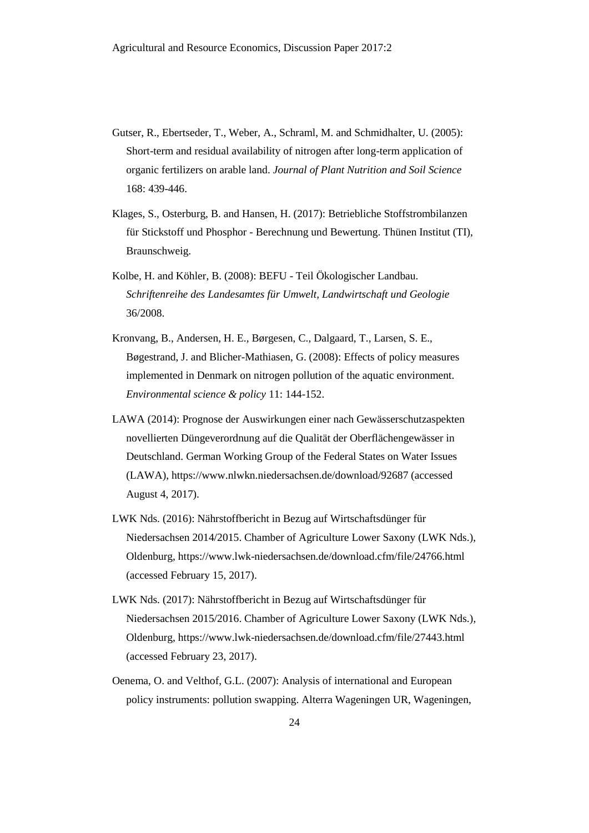- Gutser, R., Ebertseder, T., Weber, A., Schraml, M. and Schmidhalter, U. (2005): Short-term and residual availability of nitrogen after long-term application of organic fertilizers on arable land. *Journal of Plant Nutrition and Soil Science*  168: 439-446.
- Klages, S., Osterburg, B. and Hansen, H. (2017): Betriebliche Stoffstrombilanzen für Stickstoff und Phosphor - Berechnung und Bewertung. Thünen Institut (TI), Braunschweig.
- Kolbe, H. and Köhler, B. (2008): BEFU Teil Ökologischer Landbau. *Schriftenreihe des Landesamtes für Umwelt, Landwirtschaft und Geologie*  36/2008.
- Kronvang, B., Andersen, H. E., Børgesen, C., Dalgaard, T., Larsen, S. E., Bøgestrand, J. and Blicher-Mathiasen, G. (2008): Effects of policy measures implemented in Denmark on nitrogen pollution of the aquatic environment. *Environmental science & policy* 11: 144-152.
- LAWA (2014): Prognose der Auswirkungen einer nach Gewässerschutzaspekten novellierten Düngeverordnung auf die Qualität der Oberflächengewässer in Deutschland. German Working Group of the Federal States on Water Issues (LAWA), https://www.nlwkn.niedersachsen.de/download/92687 (accessed August 4, 2017).
- LWK Nds. (2016): Nährstoffbericht in Bezug auf Wirtschaftsdünger für Niedersachsen 2014/2015. Chamber of Agriculture Lower Saxony (LWK Nds.), Oldenburg, https://www.lwk-niedersachsen.de/download.cfm/file/24766.html (accessed February 15, 2017).
- LWK Nds. (2017): Nährstoffbericht in Bezug auf Wirtschaftsdünger für Niedersachsen 2015/2016. Chamber of Agriculture Lower Saxony (LWK Nds.), Oldenburg, https://www.lwk-niedersachsen.de/download.cfm/file/27443.html (accessed February 23, 2017).
- Oenema, O. and Velthof, G.L. (2007): Analysis of international and European policy instruments: pollution swapping. Alterra Wageningen UR, Wageningen,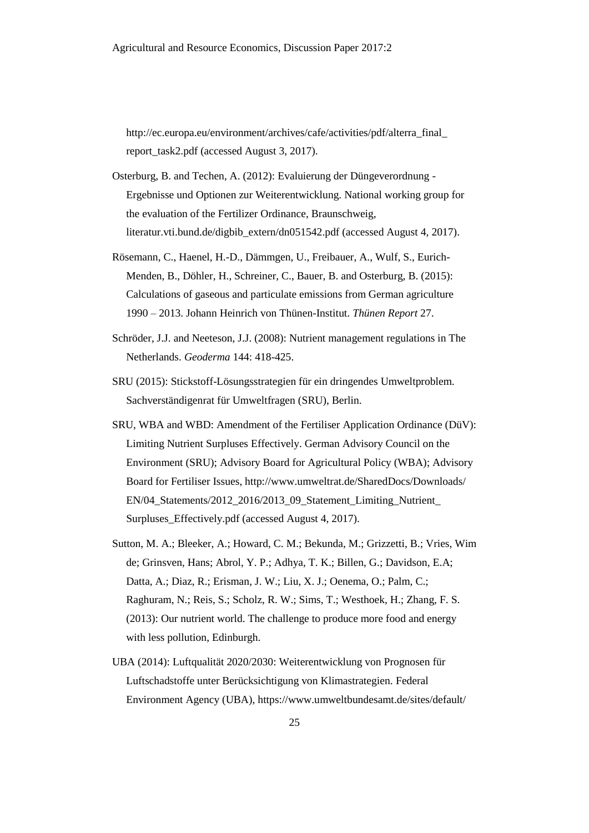http://ec.europa.eu/environment/archives/cafe/activities/pdf/alterra\_final\_ report\_task2.pdf (accessed August 3, 2017).

- Osterburg, B. and Techen, A. (2012): Evaluierung der Düngeverordnung Ergebnisse und Optionen zur Weiterentwicklung. National working group for the evaluation of the Fertilizer Ordinance, Braunschweig, literatur.vti.bund.de/digbib\_extern/dn051542.pdf (accessed August 4, 2017).
- Rösemann, C., Haenel, H.-D., Dämmgen, U., Freibauer, A., Wulf, S., Eurich-Menden, B., Döhler, H., Schreiner, C., Bauer, B. and Osterburg, B. (2015): Calculations of gaseous and particulate emissions from German agriculture 1990 – 2013. Johann Heinrich von Thünen-Institut. *Thünen Report* 27.
- Schröder, J.J. and Neeteson, J.J. (2008): Nutrient management regulations in The Netherlands. *Geoderma* 144: 418-425.
- SRU (2015): Stickstoff-Lösungsstrategien für ein dringendes Umweltproblem. Sachverständigenrat für Umweltfragen (SRU), Berlin.
- SRU, WBA and WBD: Amendment of the Fertiliser Application Ordinance (DüV): Limiting Nutrient Surpluses Effectively. German Advisory Council on the Environment (SRU); Advisory Board for Agricultural Policy (WBA); Advisory Board for Fertiliser Issues, http://www.umweltrat.de/SharedDocs/Downloads/ EN/04\_Statements/2012\_2016/2013\_09\_Statement\_Limiting\_Nutrient\_ Surpluses Effectively.pdf (accessed August 4, 2017).
- Sutton, M. A.; Bleeker, A.; Howard, C. M.; Bekunda, M.; Grizzetti, B.; Vries, Wim de; Grinsven, Hans; Abrol, Y. P.; Adhya, T. K.; Billen, G.; Davidson, E.A; Datta, A.; Diaz, R.; Erisman, J. W.; Liu, X. J.; Oenema, O.; Palm, C.; Raghuram, N.; Reis, S.; Scholz, R. W.; Sims, T.; Westhoek, H.; Zhang, F. S. (2013): Our nutrient world. The challenge to produce more food and energy with less pollution, Edinburgh.
- UBA (2014): Luftqualität 2020/2030: Weiterentwicklung von Prognosen für Luftschadstoffe unter Berücksichtigung von Klimastrategien. Federal Environment Agency (UBA), https://www.umweltbundesamt.de/sites/default/